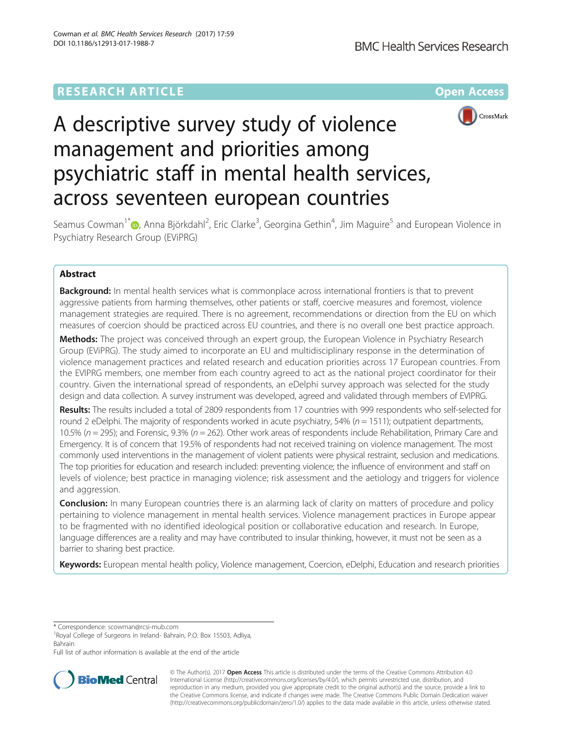# **RESEARCH ARTICLE Example 2014 12:30 The Contract of Contract Article 2014**



# A descriptive survey study of violence management and priorities among psychiatric staff in mental health services, across seventeen european countries

Seamus Cowman<sup>1\*</sup>�, Anna Björkdahl<sup>2</sup>, Eric Clarke<sup>3</sup>, Georgina Gethin<sup>4</sup>, Jim Maguire<sup>5</sup> and European Violence in Psychiatry Research Group (EViPRG)

# Abstract

**Background:** In mental health services what is commonplace across international frontiers is that to prevent aggressive patients from harming themselves, other patients or staff, coercive measures and foremost, violence management strategies are required. There is no agreement, recommendations or direction from the EU on which measures of coercion should be practiced across EU countries, and there is no overall one best practice approach.

Methods: The project was conceived through an expert group, the European Violence in Psychiatry Research Group (EViPRG). The study aimed to incorporate an EU and multidisciplinary response in the determination of violence management practices and related research and education priorities across 17 European countries. From the EVIPRG members, one member from each country agreed to act as the national project coordinator for their country. Given the international spread of respondents, an eDelphi survey approach was selected for the study design and data collection. A survey instrument was developed, agreed and validated through members of EVIPRG.

Results: The results included a total of 2809 respondents from 17 countries with 999 respondents who self-selected for round 2 eDelphi. The majority of respondents worked in acute psychiatry, 54% ( $n = 1511$ ); outpatient departments, 10.5% ( $n = 295$ ); and Forensic, 9.3% ( $n = 262$ ). Other work areas of respondents include Rehabilitation, Primary Care and Emergency. It is of concern that 19.5% of respondents had not received training on violence management. The most commonly used interventions in the management of violent patients were physical restraint, seclusion and medications. The top priorities for education and research included: preventing violence; the influence of environment and staff on levels of violence; best practice in managing violence; risk assessment and the aetiology and triggers for violence and aggression.

**Conclusion:** In many European countries there is an alarming lack of clarity on matters of procedure and policy pertaining to violence management in mental health services. Violence management practices in Europe appear to be fragmented with no identified ideological position or collaborative education and research. In Europe, language differences are a reality and may have contributed to insular thinking, however, it must not be seen as a barrier to sharing best practice.

Keywords: European mental health policy, Violence management, Coercion, eDelphi, Education and research priorities

\* Correspondence: [scowman@rcsi-mub.com](mailto:scowman@rcsi-mub.com) <sup>1</sup>

Full list of author information is available at the end of the article



© The Author(s). 2017 **Open Access** This article is distributed under the terms of the Creative Commons Attribution 4.0 International License [\(http://creativecommons.org/licenses/by/4.0/](http://creativecommons.org/licenses/by/4.0/)), which permits unrestricted use, distribution, and reproduction in any medium, provided you give appropriate credit to the original author(s) and the source, provide a link to the Creative Commons license, and indicate if changes were made. The Creative Commons Public Domain Dedication waiver [\(http://creativecommons.org/publicdomain/zero/1.0/](http://creativecommons.org/publicdomain/zero/1.0/)) applies to the data made available in this article, unless otherwise stated.

<sup>&</sup>lt;sup>1</sup> Royal College of Surgeons in Ireland- Bahrain, P.O. Box 15503, Adliya, Bahrain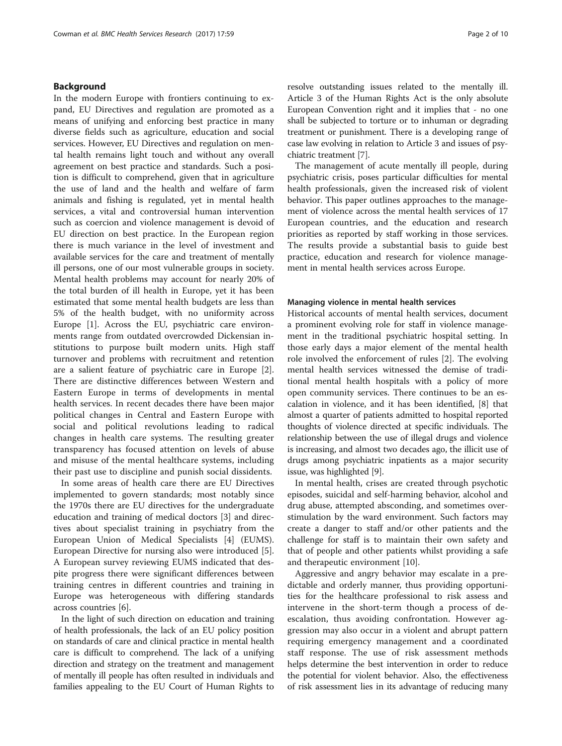# Background

In the modern Europe with frontiers continuing to expand, EU Directives and regulation are promoted as a means of unifying and enforcing best practice in many diverse fields such as agriculture, education and social services. However, EU Directives and regulation on mental health remains light touch and without any overall agreement on best practice and standards. Such a position is difficult to comprehend, given that in agriculture the use of land and the health and welfare of farm animals and fishing is regulated, yet in mental health services, a vital and controversial human intervention such as coercion and violence management is devoid of EU direction on best practice. In the European region there is much variance in the level of investment and available services for the care and treatment of mentally ill persons, one of our most vulnerable groups in society. Mental health problems may account for nearly 20% of the total burden of ill health in Europe, yet it has been estimated that some mental health budgets are less than 5% of the health budget, with no uniformity across Europe [[1\]](#page-9-0). Across the EU, psychiatric care environments range from outdated overcrowded Dickensian institutions to purpose built modern units. High staff turnover and problems with recruitment and retention are a salient feature of psychiatric care in Europe [\[2](#page-9-0)]. There are distinctive differences between Western and Eastern Europe in terms of developments in mental health services. In recent decades there have been major political changes in Central and Eastern Europe with social and political revolutions leading to radical changes in health care systems. The resulting greater transparency has focused attention on levels of abuse and misuse of the mental healthcare systems, including their past use to discipline and punish social dissidents.

In some areas of health care there are EU Directives implemented to govern standards; most notably since the 1970s there are EU directives for the undergraduate education and training of medical doctors [[3\]](#page-9-0) and directives about specialist training in psychiatry from the European Union of Medical Specialists [[4](#page-9-0)] (EUMS). European Directive for nursing also were introduced [\[5](#page-9-0)]. A European survey reviewing EUMS indicated that despite progress there were significant differences between training centres in different countries and training in Europe was heterogeneous with differing standards across countries [[6\]](#page-9-0).

In the light of such direction on education and training of health professionals, the lack of an EU policy position on standards of care and clinical practice in mental health care is difficult to comprehend. The lack of a unifying direction and strategy on the treatment and management of mentally ill people has often resulted in individuals and families appealing to the EU Court of Human Rights to resolve outstanding issues related to the mentally ill. Article 3 of the Human Rights Act is the only absolute European Convention right and it implies that - no one shall be subjected to torture or to inhuman or degrading treatment or punishment. There is a developing range of case law evolving in relation to Article 3 and issues of psychiatric treatment [\[7\]](#page-9-0).

The management of acute mentally ill people, during psychiatric crisis, poses particular difficulties for mental health professionals, given the increased risk of violent behavior. This paper outlines approaches to the management of violence across the mental health services of 17 European countries, and the education and research priorities as reported by staff working in those services. The results provide a substantial basis to guide best practice, education and research for violence management in mental health services across Europe.

# Managing violence in mental health services

Historical accounts of mental health services, document a prominent evolving role for staff in violence management in the traditional psychiatric hospital setting. In those early days a major element of the mental health role involved the enforcement of rules [\[2](#page-9-0)]. The evolving mental health services witnessed the demise of traditional mental health hospitals with a policy of more open community services. There continues to be an escalation in violence, and it has been identified, [\[8](#page-9-0)] that almost a quarter of patients admitted to hospital reported thoughts of violence directed at specific individuals. The relationship between the use of illegal drugs and violence is increasing, and almost two decades ago, the illicit use of drugs among psychiatric inpatients as a major security issue, was highlighted [[9\]](#page-9-0).

In mental health, crises are created through psychotic episodes, suicidal and self-harming behavior, alcohol and drug abuse, attempted absconding, and sometimes overstimulation by the ward environment. Such factors may create a danger to staff and/or other patients and the challenge for staff is to maintain their own safety and that of people and other patients whilst providing a safe and therapeutic environment [\[10\]](#page-9-0).

Aggressive and angry behavior may escalate in a predictable and orderly manner, thus providing opportunities for the healthcare professional to risk assess and intervene in the short-term though a process of deescalation, thus avoiding confrontation. However aggression may also occur in a violent and abrupt pattern requiring emergency management and a coordinated staff response. The use of risk assessment methods helps determine the best intervention in order to reduce the potential for violent behavior. Also, the effectiveness of risk assessment lies in its advantage of reducing many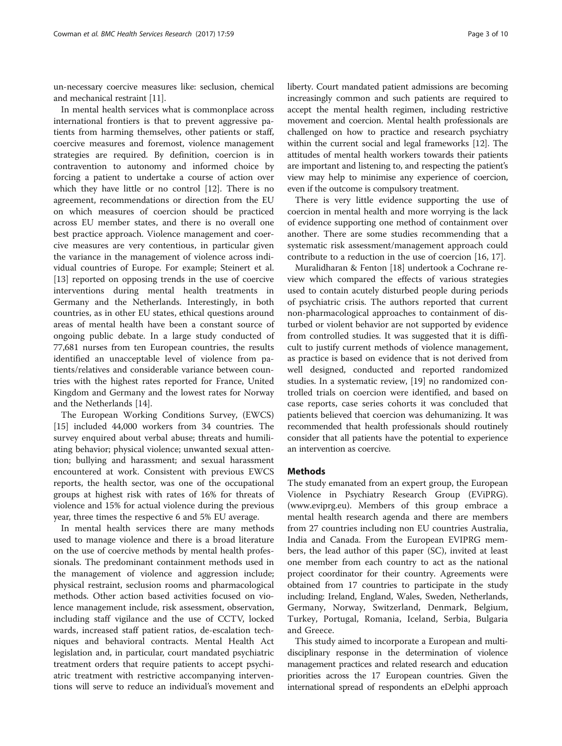un-necessary coercive measures like: seclusion, chemical and mechanical restraint [\[11\]](#page-9-0).

In mental health services what is commonplace across international frontiers is that to prevent aggressive patients from harming themselves, other patients or staff, coercive measures and foremost, violence management strategies are required. By definition, coercion is in contravention to autonomy and informed choice by forcing a patient to undertake a course of action over which they have little or no control [\[12\]](#page-9-0). There is no agreement, recommendations or direction from the EU on which measures of coercion should be practiced across EU member states, and there is no overall one best practice approach. Violence management and coercive measures are very contentious, in particular given the variance in the management of violence across individual countries of Europe. For example; Steinert et al. [[13\]](#page-9-0) reported on opposing trends in the use of coercive interventions during mental health treatments in Germany and the Netherlands. Interestingly, in both countries, as in other EU states, ethical questions around areas of mental health have been a constant source of ongoing public debate. In a large study conducted of 77,681 nurses from ten European countries, the results identified an unacceptable level of violence from patients/relatives and considerable variance between countries with the highest rates reported for France, United Kingdom and Germany and the lowest rates for Norway and the Netherlands [\[14](#page-9-0)].

The European Working Conditions Survey, (EWCS) [[15\]](#page-9-0) included 44,000 workers from 34 countries. The survey enquired about verbal abuse; threats and humiliating behavior; physical violence; unwanted sexual attention; bullying and harassment; and sexual harassment encountered at work. Consistent with previous EWCS reports, the health sector, was one of the occupational groups at highest risk with rates of 16% for threats of violence and 15% for actual violence during the previous year, three times the respective 6 and 5% EU average.

In mental health services there are many methods used to manage violence and there is a broad literature on the use of coercive methods by mental health professionals. The predominant containment methods used in the management of violence and aggression include; physical restraint, seclusion rooms and pharmacological methods. Other action based activities focused on violence management include, risk assessment, observation, including staff vigilance and the use of CCTV, locked wards, increased staff patient ratios, de-escalation techniques and behavioral contracts. Mental Health Act legislation and, in particular, court mandated psychiatric treatment orders that require patients to accept psychiatric treatment with restrictive accompanying interventions will serve to reduce an individual's movement and liberty. Court mandated patient admissions are becoming increasingly common and such patients are required to accept the mental health regimen, including restrictive movement and coercion. Mental health professionals are challenged on how to practice and research psychiatry within the current social and legal frameworks [\[12\]](#page-9-0). The attitudes of mental health workers towards their patients are important and listening to, and respecting the patient's view may help to minimise any experience of coercion, even if the outcome is compulsory treatment.

There is very little evidence supporting the use of coercion in mental health and more worrying is the lack of evidence supporting one method of containment over another. There are some studies recommending that a systematic risk assessment/management approach could contribute to a reduction in the use of coercion [[16, 17\]](#page-9-0).

Muralidharan & Fenton [\[18](#page-9-0)] undertook a Cochrane review which compared the effects of various strategies used to contain acutely disturbed people during periods of psychiatric crisis. The authors reported that current non-pharmacological approaches to containment of disturbed or violent behavior are not supported by evidence from controlled studies. It was suggested that it is difficult to justify current methods of violence management, as practice is based on evidence that is not derived from well designed, conducted and reported randomized studies. In a systematic review, [\[19](#page-9-0)] no randomized controlled trials on coercion were identified, and based on case reports, case series cohorts it was concluded that patients believed that coercion was dehumanizing. It was recommended that health professionals should routinely consider that all patients have the potential to experience an intervention as coercive.

# Methods

The study emanated from an expert group, the European Violence in Psychiatry Research Group (EViPRG). ([www.eviprg.eu\)](http://www.eviprg.eu/). Members of this group embrace a mental health research agenda and there are members from 27 countries including non EU countries Australia, India and Canada. From the European EVIPRG members, the lead author of this paper (SC), invited at least one member from each country to act as the national project coordinator for their country. Agreements were obtained from 17 countries to participate in the study including: Ireland, England, Wales, Sweden, Netherlands, Germany, Norway, Switzerland, Denmark, Belgium, Turkey, Portugal, Romania, Iceland, Serbia, Bulgaria and Greece.

This study aimed to incorporate a European and multidisciplinary response in the determination of violence management practices and related research and education priorities across the 17 European countries. Given the international spread of respondents an eDelphi approach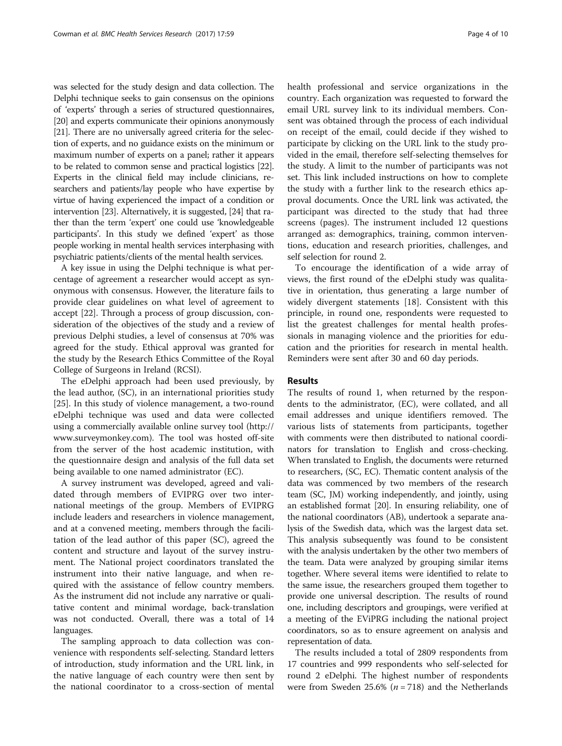was selected for the study design and data collection. The Delphi technique seeks to gain consensus on the opinions of 'experts' through a series of structured questionnaires, [[20](#page-9-0)] and experts communicate their opinions anonymously [[21](#page-9-0)]. There are no universally agreed criteria for the selection of experts, and no guidance exists on the minimum or maximum number of experts on a panel; rather it appears to be related to common sense and practical logistics [\[22](#page-9-0)]. Experts in the clinical field may include clinicians, researchers and patients/lay people who have expertise by virtue of having experienced the impact of a condition or intervention [[23](#page-9-0)]. Alternatively, it is suggested, [[24](#page-9-0)] that rather than the term 'expert' one could use 'knowledgeable participants'. In this study we defined 'expert' as those people working in mental health services interphasing with psychiatric patients/clients of the mental health services.

A key issue in using the Delphi technique is what percentage of agreement a researcher would accept as synonymous with consensus. However, the literature fails to provide clear guidelines on what level of agreement to accept [[22\]](#page-9-0). Through a process of group discussion, consideration of the objectives of the study and a review of previous Delphi studies, a level of consensus at 70% was agreed for the study. Ethical approval was granted for the study by the Research Ethics Committee of the Royal College of Surgeons in Ireland (RCSI).

The eDelphi approach had been used previously, by the lead author, (SC), in an international priorities study [[25\]](#page-9-0). In this study of violence management, a two-round eDelphi technique was used and data were collected using a commercially available online survey tool [\(http://](http://www.surveymonkey.com/#Link%20to%20external%20resource:%20http://www.surveymonkey.com) [www.surveymonkey.com](http://www.surveymonkey.com/#Link%20to%20external%20resource:%20http://www.surveymonkey.com)). The tool was hosted off-site from the server of the host academic institution, with the questionnaire design and analysis of the full data set being available to one named administrator (EC).

A survey instrument was developed, agreed and validated through members of EVIPRG over two international meetings of the group. Members of EVIPRG include leaders and researchers in violence management, and at a convened meeting, members through the facilitation of the lead author of this paper (SC), agreed the content and structure and layout of the survey instrument. The National project coordinators translated the instrument into their native language, and when required with the assistance of fellow country members. As the instrument did not include any narrative or qualitative content and minimal wordage, back-translation was not conducted. Overall, there was a total of 14 languages.

The sampling approach to data collection was convenience with respondents self-selecting. Standard letters of introduction, study information and the URL link, in the native language of each country were then sent by the national coordinator to a cross-section of mental health professional and service organizations in the country. Each organization was requested to forward the email URL survey link to its individual members. Consent was obtained through the process of each individual on receipt of the email, could decide if they wished to participate by clicking on the URL link to the study provided in the email, therefore self-selecting themselves for the study. A limit to the number of participants was not set. This link included instructions on how to complete the study with a further link to the research ethics approval documents. Once the URL link was activated, the participant was directed to the study that had three screens (pages). The instrument included 12 questions arranged as: demographics, training, common interventions, education and research priorities, challenges, and self selection for round 2.

To encourage the identification of a wide array of views, the first round of the eDelphi study was qualitative in orientation, thus generating a large number of widely divergent statements [[18](#page-9-0)]. Consistent with this principle, in round one, respondents were requested to list the greatest challenges for mental health professionals in managing violence and the priorities for education and the priorities for research in mental health. Reminders were sent after 30 and 60 day periods.

# Results

The results of round 1, when returned by the respondents to the administrator, (EC), were collated, and all email addresses and unique identifiers removed. The various lists of statements from participants, together with comments were then distributed to national coordinators for translation to English and cross-checking. When translated to English, the documents were returned to researchers, (SC, EC). Thematic content analysis of the data was commenced by two members of the research team (SC, JM) working independently, and jointly, using an established format [[20](http://onlinelibrary.wiley.com/doi/10.1111/j.1365-2702.2011.03950.x/full#b12%23Link%20to%20bibliographic%20citation)]. In ensuring reliability, one of the national coordinators (AB), undertook a separate analysis of the Swedish data, which was the largest data set. This analysis subsequently was found to be consistent with the analysis undertaken by the other two members of the team. Data were analyzed by grouping similar items together. Where several items were identified to relate to the same issue, the researchers grouped them together to provide one universal description. The results of round one, including descriptors and groupings, were verified at a meeting of the EViPRG including the national project coordinators, so as to ensure agreement on analysis and representation of data.

The results included a total of 2809 respondents from 17 countries and 999 respondents who self-selected for round 2 eDelphi. The highest number of respondents were from Sweden 25.6% ( $n = 718$ ) and the Netherlands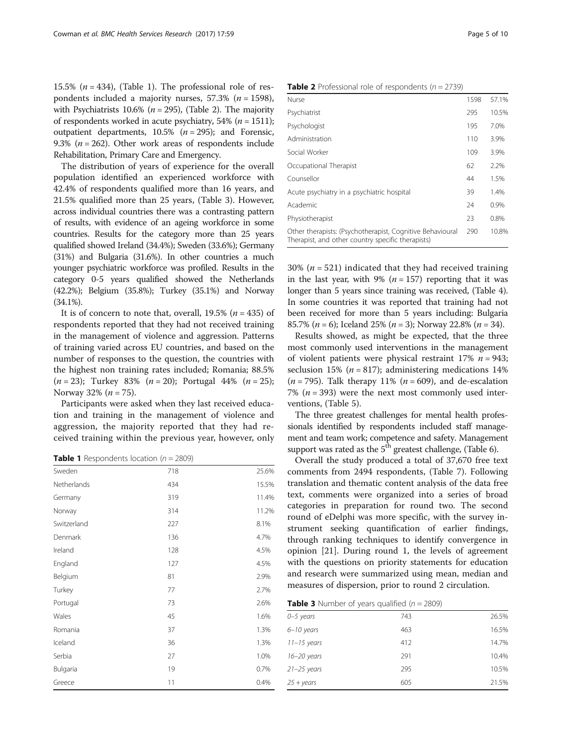<span id="page-4-0"></span>15.5% ( $n = 434$ ), (Table 1). The professional role of respondents included a majority nurses, 57.3% ( $n = 1598$ ), with Psychiatrists 10.6% ( $n = 295$ ), (Table 2). The majority of respondents worked in acute psychiatry, 54% ( $n = 1511$ ); outpatient departments,  $10.5\%$  ( $n = 295$ ); and Forensic, 9.3% ( $n = 262$ ). Other work areas of respondents include Rehabilitation, Primary Care and Emergency.

The distribution of years of experience for the overall population identified an experienced workforce with 42.4% of respondents qualified more than 16 years, and 21.5% qualified more than 25 years, (Table 3). However, across individual countries there was a contrasting pattern of results, with evidence of an ageing workforce in some countries. Results for the category more than 25 years qualified showed Ireland (34.4%); Sweden (33.6%); Germany (31%) and Bulgaria (31.6%). In other countries a much younger psychiatric workforce was profiled. Results in the category 0-5 years qualified showed the Netherlands (42.2%); Belgium (35.8%); Turkey (35.1%) and Norway (34.1%).

It is of concern to note that, overall,  $19.5\%$  ( $n = 435$ ) of respondents reported that they had not received training in the management of violence and aggression. Patterns of training varied across EU countries, and based on the number of responses to the question, the countries with the highest non training rates included; Romania; 88.5%  $(n = 23)$ ; Turkey 83%  $(n = 20)$ ; Portugal 44%  $(n = 25)$ ; Norway 32% ( $n = 75$ ).

Participants were asked when they last received education and training in the management of violence and aggression, the majority reported that they had received training within the previous year, however, only

**Table 1** Respondents location ( $n = 2809$ )

| Sweden      | 718 | 25.6% |
|-------------|-----|-------|
| Netherlands | 434 | 15.5% |
| Germany     | 319 | 11.4% |
| Norway      | 314 | 11.2% |
| Switzerland | 227 | 8.1%  |
| Denmark     | 136 | 4.7%  |
| Ireland     | 128 | 4.5%  |
| England     | 127 | 4.5%  |
| Belgium     | 81  | 2.9%  |
| Turkey      | 77  | 2.7%  |
| Portugal    | 73  | 2.6%  |
| Wales       | 45  | 1.6%  |
| Romania     | 37  | 1.3%  |
| Iceland     | 36  | 1.3%  |
| Serbia      | 27  | 1.0%  |
| Bulgaria    | 19  | 0.7%  |
| Greece      | 11  | 0.4%  |

|               |  |  | <b>Table 2</b> Professional role of respondents ( $n = 2739$ ) |  |
|---------------|--|--|----------------------------------------------------------------|--|
| $\sim$ $\sim$ |  |  |                                                                |  |

| Nurse                                                                                                          | 1598 | 57.1% |
|----------------------------------------------------------------------------------------------------------------|------|-------|
| Psychiatrist                                                                                                   | 295  | 10.5% |
| Psychologist                                                                                                   | 195  | 7.0%  |
| Administration                                                                                                 | 110  | 3.9%  |
| Social Worker                                                                                                  | 109  | 3.9%  |
| Occupational Therapist                                                                                         | 62   | 2.2%  |
| Counsellor                                                                                                     | 44   | 1.5%  |
| Acute psychiatry in a psychiatric hospital                                                                     | 39   | 1.4%  |
| Academic                                                                                                       | 24   | 0.9%  |
| Physiotherapist                                                                                                | 23   | 0.8%  |
| Other therapists: (Psychotherapist, Cognitive Behavioural<br>Therapist, and other country specific therapists) | 290  | 10.8% |
|                                                                                                                |      |       |

30% ( $n = 521$ ) indicated that they had received training in the last year, with 9% ( $n = 157$ ) reporting that it was longer than 5 years since training was received, (Table [4](#page-5-0)). In some countries it was reported that training had not been received for more than 5 years including: Bulgaria 85.7% ( $n = 6$ ); Iceland 25% ( $n = 3$ ); Norway 22.8% ( $n = 34$ ).

Results showed, as might be expected, that the three most commonly used interventions in the management of violent patients were physical restraint  $17\%$   $n = 943$ ; seclusion 15% ( $n = 817$ ); administering medications 14%  $(n = 795)$ . Talk therapy 11%  $(n = 609)$ , and de-escalation 7% ( $n = 393$ ) were the next most commonly used interventions, (Table [5\)](#page-5-0).

The three greatest challenges for mental health professionals identified by respondents included staff management and team work; competence and safety. Management support was rated as the  $5<sup>th</sup>$  greatest challenge, (Table [6\)](#page-5-0).

Overall the study produced a total of 37,670 free text comments from 2494 respondents, (Table [7](#page-6-0)). Following translation and thematic content analysis of the data free text, comments were organized into a series of broad categories in preparation for round two. The second round of eDelphi was more specific, with the survey instrument seeking quantification of earlier findings, through ranking techniques to identify convergence in opinion [[21\]](http://onlinelibrary.wiley.com/doi/10.1111/j.1365-2702.2011.03950.x/full#b31%23Link%20to%20bibliographic%20citation). During round 1, the levels of agreement with the questions on priority statements for education and research were summarized using mean, median and measures of dispersion, prior to round 2 circulation.

**Table 3** Number of years qualified ( $n = 2809$ )

| $0 - 5$ years      | 743 | 26.5% |
|--------------------|-----|-------|
| $6 - 10$ years     | 463 | 16.5% |
| $11 - 15$ years    | 412 | 14.7% |
| $16 - 20$ years    | 291 | 10.4% |
| $21 - 25$ years    | 295 | 10.5% |
| $25 + \gamma$ ears | 605 | 21.5% |
|                    |     |       |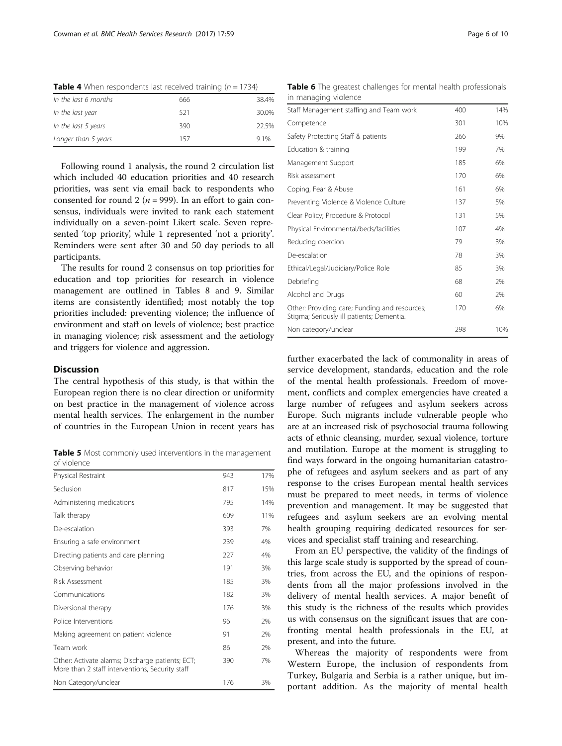| <b>TWHE</b> T WHICH Response not received training $y_1 = 17.57$ |     |       |  |  |
|------------------------------------------------------------------|-----|-------|--|--|
| In the last 6 months                                             | 666 | 38.4% |  |  |
| In the last year                                                 | 521 | 30.0% |  |  |
| In the last 5 years                                              | 390 | 22.5% |  |  |
| Longer than 5 years                                              | 157 | 9.1%  |  |  |
|                                                                  |     |       |  |  |

<span id="page-5-0"></span>**Table 4** When respondents last received training  $(n - 1734)$ 

Following round 1 analysis, the round 2 circulation list which included 40 education priorities and 40 research priorities, was sent via email back to respondents who consented for round 2 ( $n = 999$ ). In an effort to gain consensus, individuals were invited to rank each statement individually on a seven-point Likert scale. Seven represented 'top priority', while 1 represented 'not a priority'. Reminders were sent after 30 and 50 day periods to all participants.

The results for round 2 consensus on top priorities for education and top priorities for research in violence management are outlined in Tables [8](#page-7-0) and [9.](#page-7-0) Similar items are consistently identified; most notably the top priorities included: preventing violence; the influence of environment and staff on levels of violence; best practice in managing violence; risk assessment and the aetiology and triggers for violence and aggression.

# **Discussion**

The central hypothesis of this study, is that within the European region there is no clear direction or uniformity on best practice in the management of violence across mental health services. The enlargement in the number of countries in the European Union in recent years has

Table 5 Most commonly used interventions in the management of violence

| Physical Restraint                                                                                  | 943 | 17% |
|-----------------------------------------------------------------------------------------------------|-----|-----|
| Seclusion                                                                                           | 817 | 15% |
| Administering medications                                                                           | 795 | 14% |
| Talk therapy                                                                                        | 609 | 11% |
| De-escalation                                                                                       | 393 | 7%  |
| Ensuring a safe environment                                                                         | 239 | 4%  |
| Directing patients and care planning                                                                | 227 | 4%  |
| Observing behavior                                                                                  | 191 | 3%  |
| Risk Assessment                                                                                     | 185 | 3%  |
| Communications                                                                                      | 182 | 3%  |
| Diversional therapy                                                                                 | 176 | 3%  |
| Police Interventions                                                                                | 96  | 2%  |
| Making agreement on patient violence                                                                | 91  | 2%  |
| Team work                                                                                           | 86  | 2%  |
| Other: Activate alarms; Discharge patients; ECT;<br>More than 2 staff interventions, Security staff | 390 | 7%  |
| Non Category/unclear                                                                                | 176 | 3%  |

Table 6 The greatest challenges for mental health professionals in managing violence

| Staff Management staffing and Team work                                                    | 400 | 14% |
|--------------------------------------------------------------------------------------------|-----|-----|
| Competence                                                                                 | 301 | 10% |
| Safety Protecting Staff & patients                                                         | 266 | 9%  |
| Education & training                                                                       | 199 | 7%  |
| Management Support                                                                         | 185 | 6%  |
| Risk assessment                                                                            | 170 | 6%  |
| Coping, Fear & Abuse                                                                       | 161 | 6%  |
| Preventing Violence & Violence Culture                                                     | 137 | 5%  |
| Clear Policy; Procedure & Protocol                                                         | 131 | 5%  |
| Physical Environmental/beds/facilities                                                     | 107 | 4%  |
| Reducing coercion                                                                          | 79  | 3%  |
| De-escalation                                                                              | 78  | 3%  |
| Ethical/Legal/Judiciary/Police Role                                                        | 85  | 3%  |
| Debriefing                                                                                 | 68  | 2%  |
| Alcohol and Drugs                                                                          | 60  | 2%  |
| Other: Providing care; Funding and resources;<br>Stigma; Seriously ill patients; Dementia. | 170 | 6%  |
| Non category/unclear                                                                       | 298 | 10% |

further exacerbated the lack of commonality in areas of service development, standards, education and the role of the mental health professionals. Freedom of movement, conflicts and complex emergencies have created a large number of refugees and asylum seekers across Europe. Such migrants include vulnerable people who are at an increased risk of psychosocial trauma following acts of ethnic cleansing, murder, sexual violence, torture and mutilation. Europe at the moment is struggling to find ways forward in the ongoing humanitarian catastrophe of refugees and asylum seekers and as part of any response to the crises European mental health services must be prepared to meet needs, in terms of violence prevention and management. It may be suggested that refugees and asylum seekers are an evolving mental health grouping requiring dedicated resources for services and specialist staff training and researching.

From an EU perspective, the validity of the findings of this large scale study is supported by the spread of countries, from across the EU, and the opinions of respondents from all the major professions involved in the delivery of mental health services. A major benefit of this study is the richness of the results which provides us with consensus on the significant issues that are confronting mental health professionals in the EU, at present, and into the future.

Whereas the majority of respondents were from Western Europe, the inclusion of respondents from Turkey, Bulgaria and Serbia is a rather unique, but important addition. As the majority of mental health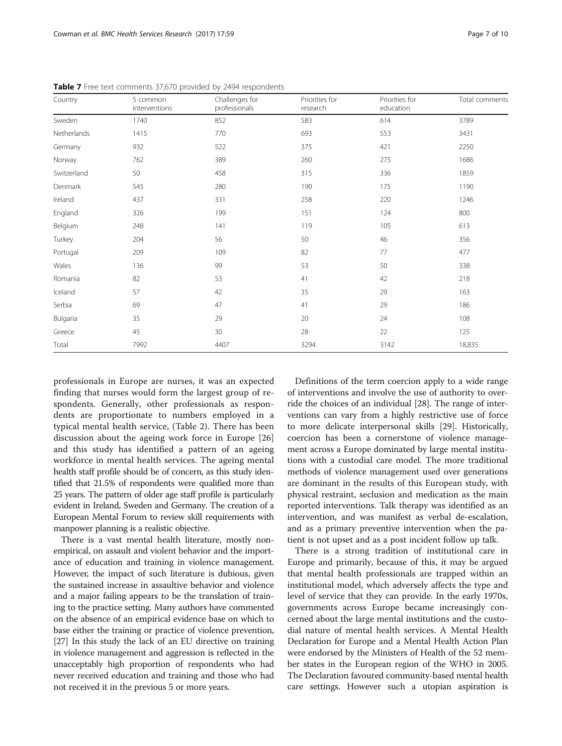| Country     | 5 common<br>interventions | Challenges for<br>professionals | Priorities for<br>research | Priorities for<br>education | Total comments |
|-------------|---------------------------|---------------------------------|----------------------------|-----------------------------|----------------|
| Sweden      | 1740                      | 852                             | 583                        | 614                         | 3789           |
| Netherlands | 1415                      | 770                             | 693                        | 553                         | 3431           |
| Germany     | 932                       | 522                             | 375                        | 421                         | 2250           |
| Norway      | 762                       | 389                             | 260                        | 275                         | 1686           |
| Switzerland | 50                        | 458                             | 315                        | 336                         | 1859           |
| Denmark     | 545                       | 280                             | 190                        | 175                         | 1190           |
| Ireland     | 437                       | 331                             | 258                        | 220                         | 1246           |
| England     | 326                       | 199                             | 151                        | 124                         | 800            |
| Belgium     | 248                       | 141                             | 119                        | 105                         | 613            |
| Turkey      | 204                       | 56                              | 50                         | 46                          | 356            |
| Portugal    | 209                       | 109                             | 82                         | 77                          | 477            |
| Wales       | 136                       | 99                              | 53                         | 50                          | 338            |
| Romania     | 82                        | 53                              | 41                         | 42                          | 218            |
| Iceland     | 57                        | 42                              | 35                         | 29                          | 163            |
| Serbia      | 69                        | 47                              | 41                         | 29                          | 186            |
| Bulgaria    | 35                        | 29                              | 20                         | 24                          | 108            |
| Greece      | 45                        | 30                              | 28                         | 22                          | 125            |
| Total       | 7992                      | 4407                            | 3294                       | 3142                        | 18,835         |

<span id="page-6-0"></span>Table 7 Free text comments 37,670 provided by 2494 respondents

professionals in Europe are nurses, it was an expected finding that nurses would form the largest group of respondents. Generally, other professionals as respondents are proportionate to numbers employed in a typical mental health service, (Table [2\)](#page-4-0). There has been discussion about the ageing work force in Europe [\[26](#page-9-0)] and this study has identified a pattern of an ageing workforce in mental health services. The ageing mental health staff profile should be of concern, as this study identified that 21.5% of respondents were qualified more than 25 years. The pattern of older age staff profile is particularly evident in Ireland, Sweden and Germany. The creation of a European Mental Forum to review skill requirements with manpower planning is a realistic objective.

There is a vast mental health literature, mostly nonempirical, on assault and violent behavior and the importance of education and training in violence management. However, the impact of such literature is dubious, given the sustained increase in assaultive behavior and violence and a major failing appears to be the translation of training to the practice setting. Many authors have commented on the absence of an empirical evidence base on which to base either the training or practice of violence prevention, [[27](#page-9-0)] In this study the lack of an EU directive on training in violence management and aggression is reflected in the unacceptably high proportion of respondents who had never received education and training and those who had not received it in the previous 5 or more years.

Definitions of the term coercion apply to a wide range of interventions and involve the use of authority to override the choices of an individual [\[28](#page-9-0)]. The range of interventions can vary from a highly restrictive use of force to more delicate interpersonal skills [\[29](#page-9-0)]. Historically, coercion has been a cornerstone of violence management across a Europe dominated by large mental institutions with a custodial care model. The more traditional methods of violence management used over generations are dominant in the results of this European study, with physical restraint, seclusion and medication as the main reported interventions. Talk therapy was identified as an intervention, and was manifest as verbal de-escalation, and as a primary preventive intervention when the patient is not upset and as a post incident follow up talk.

There is a strong tradition of institutional care in Europe and primarily, because of this, it may be argued that mental health professionals are trapped within an institutional model, which adversely affects the type and level of service that they can provide. In the early 1970s, governments across Europe became increasingly concerned about the large mental institutions and the custodial nature of mental health services. A Mental Health Declaration for Europe and a Mental Health Action Plan were endorsed by the Ministers of Health of the 52 member states in the European region of the WHO in 2005. The Declaration favoured community-based mental health care settings. However such a utopian aspiration is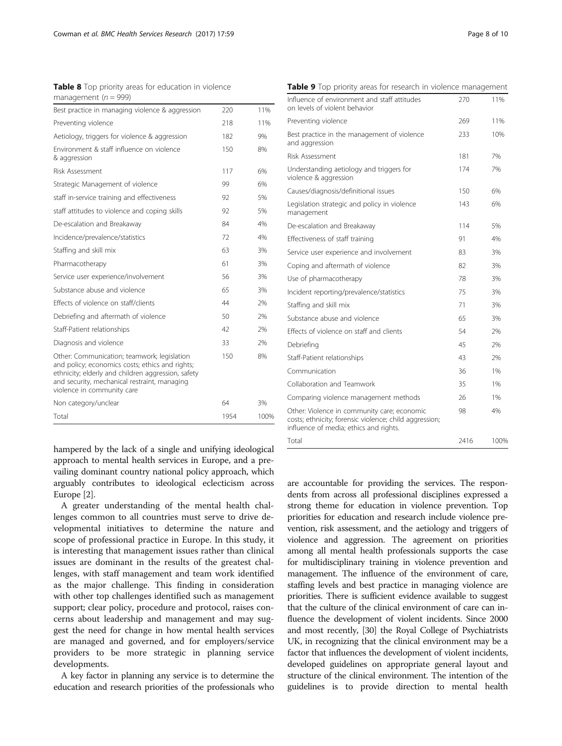<span id="page-7-0"></span>Table 8 Top priority areas for education in violence management ( $n = 999$ )

| Best practice in managing violence & aggression                                                                                                                                                                                    | 220  | 11%  |
|------------------------------------------------------------------------------------------------------------------------------------------------------------------------------------------------------------------------------------|------|------|
| Preventing violence                                                                                                                                                                                                                | 218  | 11%  |
| Aetiology, triggers for violence & aggression                                                                                                                                                                                      | 182  | 9%   |
| Environment & staff influence on violence<br>& aggression                                                                                                                                                                          | 150  | 8%   |
| Risk Assessment                                                                                                                                                                                                                    | 117  | 6%   |
| Strategic Management of violence                                                                                                                                                                                                   | 99   | 6%   |
| staff in-service training and effectiveness                                                                                                                                                                                        | 92   | 5%   |
| staff attitudes to violence and coping skills                                                                                                                                                                                      | 92   | 5%   |
| De-escalation and Breakaway                                                                                                                                                                                                        | 84   | 4%   |
| Incidence/prevalence/statistics                                                                                                                                                                                                    | 72   | 4%   |
| Staffing and skill mix                                                                                                                                                                                                             | 63   | 3%   |
| Pharmacotherapy                                                                                                                                                                                                                    | 61   | 3%   |
| Service user experience/involvement                                                                                                                                                                                                | 56   | 3%   |
| Substance abuse and violence                                                                                                                                                                                                       | 65   | 3%   |
| Effects of violence on staff/clients                                                                                                                                                                                               | 44   | 2%   |
| Debriefing and aftermath of violence                                                                                                                                                                                               | 50   | 7%   |
| Staff-Patient relationships                                                                                                                                                                                                        | 42   | 2%   |
| Diagnosis and violence                                                                                                                                                                                                             | 33   | 7%   |
| Other: Communication; teamwork; legislation<br>and policy; economics costs; ethics and rights;<br>ethnicity; elderly and children aggression, safety<br>and security, mechanical restraint, managing<br>violence in community care | 150  | 8%   |
| Non category/unclear                                                                                                                                                                                                               | 64   | 3%   |
| Total                                                                                                                                                                                                                              | 1954 | 100% |

hampered by the lack of a single and unifying ideological approach to mental health services in Europe, and a prevailing dominant country national policy approach, which arguably contributes to ideological eclecticism across Europe [\[2](#page-9-0)].

A greater understanding of the mental health challenges common to all countries must serve to drive developmental initiatives to determine the nature and scope of professional practice in Europe. In this study, it is interesting that management issues rather than clinical issues are dominant in the results of the greatest challenges, with staff management and team work identified as the major challenge. This finding in consideration with other top challenges identified such as management support; clear policy, procedure and protocol, raises concerns about leadership and management and may suggest the need for change in how mental health services are managed and governed, and for employers/service providers to be more strategic in planning service developments.

A key factor in planning any service is to determine the education and research priorities of the professionals who

Table 9 Top priority areas for research in violence management

| <b>Table 9</b> TOD priority areas for research in violence management         |     |     |
|-------------------------------------------------------------------------------|-----|-----|
| Influence of environment and staff attitudes<br>on levels of violent behavior | 270 | 11% |
| Preventing violence                                                           | 269 | 11% |
| Best practice in the management of violence<br>and aggression                 | 233 | 10% |
| Risk Assessment                                                               | 181 | 7%  |
| Understanding aetiology and triggers for<br>violence & aggression             | 174 | 7%  |
| Causes/diagnosis/definitional issues                                          | 150 | 6%  |
| Legislation strategic and policy in violence<br>management                    | 143 | 6%  |
| De-escalation and Breakaway                                                   | 114 | 5%  |
| Effectiveness of staff training                                               | 91  | 4%  |
| Service user experience and involvement                                       | 83  | 3%  |
| Coping and aftermath of violence                                              | 82  | 3%  |
| Use of pharmacotherapy                                                        | 78  | 3%  |
| Incident reporting/prevalence/statistics                                      | 75  | 3%  |
| Staffing and skill mix                                                        | 71  | 3%  |
| Substance abuse and violence                                                  | 65  | 3%  |
| Effects of violence on staff and clients                                      | 54  | 2%  |
| Debriefing                                                                    | 45  | 7%  |
| Staff-Patient relationships                                                   | 43  | 2%  |

Communication 36 1% Collaboration and Teamwork 35 1% Comparing violence management methods 26 1%

Total 2416 100%

Other: Violence in community care; economic costs; ethnicity; forensic violence; child aggression;

influence of media; ethics and rights.

are accountable for providing the services. The respondents from across all professional disciplines expressed a strong theme for education in violence prevention. Top priorities for education and research include violence prevention, risk assessment, and the aetiology and triggers of violence and aggression. The agreement on priorities among all mental health professionals supports the case for multidisciplinary training in violence prevention and management. The influence of the environment of care, staffing levels and best practice in managing violence are priorities. There is sufficient evidence available to suggest that the culture of the clinical environment of care can influence the development of violent incidents. Since 2000 and most recently, [\[30](#page-9-0)] the Royal College of Psychiatrists UK, in recognizing that the clinical environment may be a factor that influences the development of violent incidents, developed guidelines on appropriate general layout and structure of the clinical environment. The intention of the guidelines is to provide direction to mental health

98 4%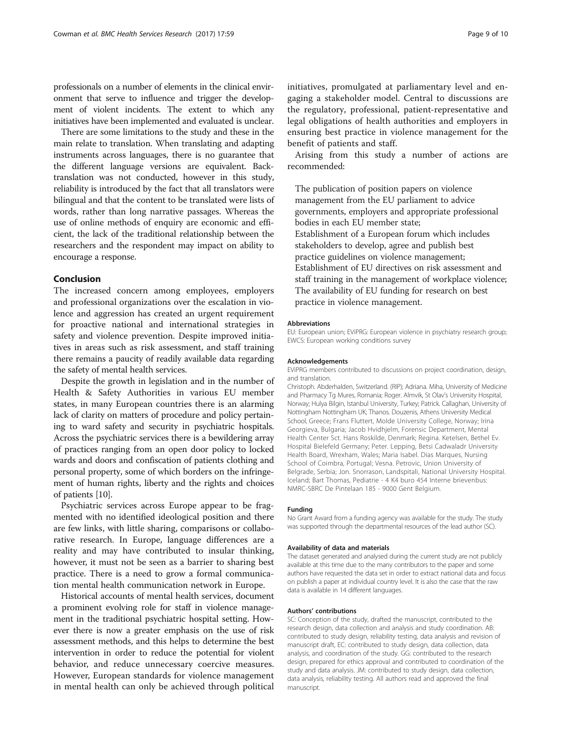professionals on a number of elements in the clinical environment that serve to influence and trigger the development of violent incidents. The extent to which any initiatives have been implemented and evaluated is unclear.

There are some limitations to the study and these in the main relate to translation. When translating and adapting instruments across languages, there is no guarantee that the different language versions are equivalent. Backtranslation was not conducted, however in this study, reliability is introduced by the fact that all translators were bilingual and that the content to be translated were lists of words, rather than long narrative passages. Whereas the use of online methods of enquiry are economic and efficient, the lack of the traditional relationship between the researchers and the respondent may impact on ability to encourage a response.

# Conclusion

The increased concern among employees, employers and professional organizations over the escalation in violence and aggression has created an urgent requirement for proactive national and international strategies in safety and violence prevention. Despite improved initiatives in areas such as risk assessment, and staff training there remains a paucity of readily available data regarding the safety of mental health services.

Despite the growth in legislation and in the number of Health & Safety Authorities in various EU member states, in many European countries there is an alarming lack of clarity on matters of procedure and policy pertaining to ward safety and security in psychiatric hospitals. Across the psychiatric services there is a bewildering array of practices ranging from an open door policy to locked wards and doors and confiscation of patients clothing and personal property, some of which borders on the infringement of human rights, liberty and the rights and choices of patients [\[10](#page-9-0)].

Psychiatric services across Europe appear to be fragmented with no identified ideological position and there are few links, with little sharing, comparisons or collaborative research. In Europe, language differences are a reality and may have contributed to insular thinking, however, it must not be seen as a barrier to sharing best practice. There is a need to grow a formal communication mental health communication network in Europe.

Historical accounts of mental health services, document a prominent evolving role for staff in violence management in the traditional psychiatric hospital setting. However there is now a greater emphasis on the use of risk assessment methods, and this helps to determine the best intervention in order to reduce the potential for violent behavior, and reduce unnecessary coercive measures. However, European standards for violence management in mental health can only be achieved through political

initiatives, promulgated at parliamentary level and engaging a stakeholder model. Central to discussions are the regulatory, professional, patient-representative and legal obligations of health authorities and employers in ensuring best practice in violence management for the benefit of patients and staff.

Arising from this study a number of actions are recommended:

The publication of position papers on violence management from the EU parliament to advice governments, employers and appropriate professional bodies in each EU member state; Establishment of a European forum which includes stakeholders to develop, agree and publish best practice guidelines on violence management; Establishment of EU directives on risk assessment and staff training in the management of workplace violence; The availability of EU funding for research on best practice in violence management.

#### Abbreviations

EU: European union; EViPRG: European violence in psychiatry research group; EWCS: European working conditions survey

#### Acknowledgements

EViPRG members contributed to discussions on project coordination, design, and translation.

Christoph. Abderhalden, Switzerland. (RIP); Adriana. Miha, University of Medicine and Pharmacy Tg Mures, Romania; Roger. Almvik, St Olav's University Hospital, Norway; Hulya Bilgin, Istanbul University, Turkey; Patrick. Callaghan, University of Nottingham Nottingham UK; Thanos. Douzenis, Athens University Medical School, Greece; Frans Fluttert, Molde University College, Norway; Irina Georgieva, Bulgaria; Jacob Hvidhjelm, Forensic Department, Mental Health Center Sct. Hans Roskilde, Denmark; Regina. Ketelsen, Bethel Ev. Hospital Bielefeld Germany; Peter. Lepping, Betsi Cadwaladr University Health Board, Wrexham, Wales; Maria Isabel. Dias Marques, Nursing School of Coimbra, Portugal; Vesna. Petrovic, Union University of Belgrade, Serbia; Jon. Snorrason, Landspitali, National University Hospital. Iceland; Bart Thomas, Pediatrie - 4 K4 buro 454 Interne brievenbus: NMRC-SBRC De Pintelaan 185 - 9000 Gent Belgium.

#### Funding

No Grant Award from a funding agency was available for the study. The study was supported through the departmental resources of the lead author (SC).

## Availability of data and materials

The dataset generated and analysed during the current study are not publicly available at this time due to the many contributors to the paper and some authors have requested the data set in order to extract national data and focus on publish a paper at individual country level. It is also the case that the raw data is available in 14 different languages.

#### Authors' contributions

SC: Conception of the study, drafted the manuscript, contributed to the research design, data collection and analysis and study coordination. AB: contributed to study design, reliability testing, data analysis and revision of manuscript draft, EC: contributed to study design, data collection, data analysis, and coordination of the study. GG: contributed to the research design, prepared for ethics approval and contributed to coordination of the study and data analysis. JM: contributed to study design, data collection, data analysis, reliability testing. All authors read and approved the final manuscript.